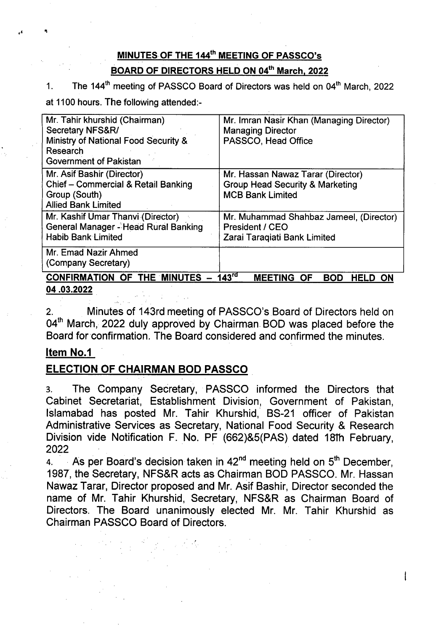# MINUTES OF THE 144<sup>th</sup> MEETING OF PASSCO's

BOARD OF DIRECTORS HELD ON 04th March, 2022

1. The 144<sup>th</sup> meeting of PASSCO Board of Directors was held on 04<sup>th</sup> March, 2022

at 1100 hours. The following attended:-

| Mr. Tahir khurshid (Chairman)<br>Secretary NFS&R/<br>Ministry of National Food Security &<br>Research<br><b>Government of Pakistan</b> | Mr. Imran Nasir Khan (Managing Director)<br><b>Managing Director</b><br>PASSCO, Head Office                |
|----------------------------------------------------------------------------------------------------------------------------------------|------------------------------------------------------------------------------------------------------------|
| Mr. Asif Bashir (Director)<br>Chief - Commercial & Retail Banking<br>Group (South)<br><b>Allied Bank Limited</b>                       | Mr. Hassan Nawaz Tarar (Director)<br><b>Group Head Security &amp; Marketing</b><br><b>MCB Bank Limited</b> |
| Mr. Kashif Umar Thanvi (Director)<br><b>General Manager - Head Rural Banking</b><br><b>Habib Bank Limited</b>                          | Mr. Muhammad Shahbaz Jameel, (Director)<br>President / CEO<br>Zarai Taragiati Bank Limited                 |
| Mr. Emad Nazir Ahmed<br>(Company Secretary)                                                                                            |                                                                                                            |
| 143 <sup>rd</sup><br><b>CONFIRMATION OF THE MINUTES</b><br><b>MEETING</b><br><b>BOD</b><br>- OF<br>HELD                                |                                                                                                            |

### 04.03.2022

2. Minutes of 143rd meeting of PASSCO's Board of Directors held on 04<sup>th</sup> March, 2022 duly approved by Chairman BOD was placed before the Board for confirmation. The Board considered and confirmed the minutes.

# Item No.1

# ELECTION OF CHAIRMAN BOD PASSCO

3. The Company Secretary, PASSCO informed the Directors that Cabinet Secretariat, Establishment Division, Government of Pakistan, Islamabad has posted Mr. Tahir Khurshid, BS-21 officer of Pakistan Administrative Services as Secretary, National Food Security & Research Division vide Notification F. No. PF (662)&5(PAS) dated 181h February, 2022

4. As per Board's decision taken in 42<sup>nd</sup> meeting held on 5<sup>th</sup> December 1987, the Secretary, NFS&R acts as Chairman BOD PASSCO. Mr. Hassan Nawaz Tarar, Director proposed and Mr. Asif Bashir, Director seconded the name of Mr. Tahir Khurshid, Secretary, NFS&R as Chairman Board of Directors. The Board unanimously elected Mr. Mr. Tahir Khurshid as Chairman PASSCO Board of Directors.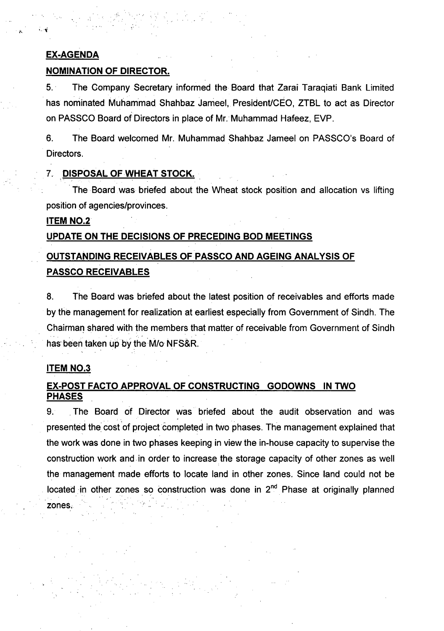### EX-AGENDA

### NOMINATION OF DIRECTOR.

5.. The Company Secretary informed the Board that Zarai Taraqiati Bank limited has nominated Muhammad Shahbaz Jameel, President/CEO, ZTBL to act as Director on PASSCO Board of Directors in place of Mr. Muhammad Hafeez, EVP.

6. The Board welcomed Mr. Muhammad Shahbaz Jameel on PASSCO's Board of Directors.

### 7. DISPOSAL OF WHEAT STOCK.

The Board was briefed about the Wheat stock position and allocation vs lifting position of agencies/provinces.

### ITEM NO.2

### UPDATE ON THE DECISIONS OF PRECEDING BOD MEETINGS

# OUTSTANDING RECEIVABLES OF PASSCO AND AGEING ANALYSIS OF PASSCO RECEIVABLES

8. The Board was briefed about the latest position of receivables and efforts made by the management for realization at earliest especially from Government of Sindh. The Chairman shared with the members that matter of receivable from Government of Sindh has been taken up by the M/o NFS&R.

### **ITEM NO.3**

### EX-POST FACTO APPROVAL OF CONSTRUCTING GODOWNS IN TWO PHASES

9. The Board of Director was briefed about the audit observation and was . . presented the cost of project completed in two phases. The management explained that the work was done in two phases keeping in view the in-house capacity to supervise the construction work and in order to increase the storage capacity of other zones as well the management made efforts to locate land in other zones. Since land could not be located in other zones so construction was done in 2<sup>nd</sup> Phase at originally planned zones;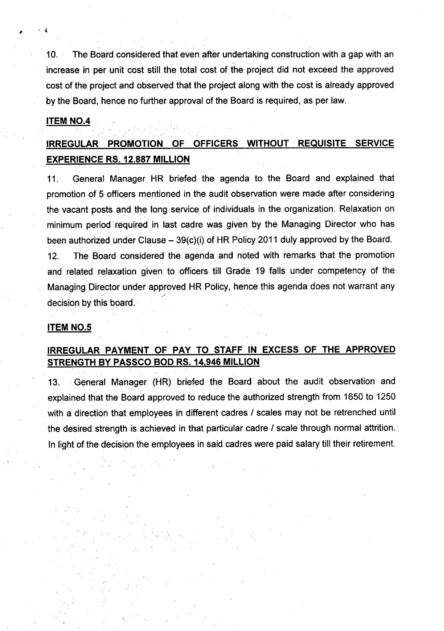10. The Board considered that even after undertaking construction with a gap with an increase in per unit cost still the total cost of the project did not exceed the approved cost of the project and observed that the project along with the cost is already approved by the Board, hence no further approval of the Board is required, as per law.

. . .

#### ITEM NO.4

.. .

, (

# IRREGULAR PROMOTION OF OFFICERS WITHOUT REQUISITE SERVICE EXPERIENCE RS. 12.887 MILLION

11. General Manager HR briefed the agenda to the Board and explained that promotion of 5 officers mentioned in the audit observation were made after considering the vacant posts and the long service of individuals in the organization. Relaxation on minimum period' required in last cadre was given by the Managing Director who has been authorized under Clause  $-$  39(c)(i) of HR Policy 2011 duly approved by the Board.

12. The Board considered the agenda and noted with remarks that the promotion and related relaxation given to officers till Grade 19 falls under competency of the Managing Director under approved HR Policy, hence this agenda does not warrant any .' ." ~ . decision by this board.

#### ITEM NO.5

## IRREGULAR PAYMENT OF PAY TO STAFF IN EXCESS OF THE APPROVED STRENGTH BY PASSCO BOD RS.14,946 MILLION

13. General Manager (HR) briefed the Board about the audit observation and explained that the Board approved to reduce the authorized strength from 1650 to 1250 with a direction that employees in different cadres *I* scales may not be retrenched until the desired strength is achieved in that particular cadre *I* scale through normal attrition. In light of the decision the employees in said cadres were paid salary till their retirement.